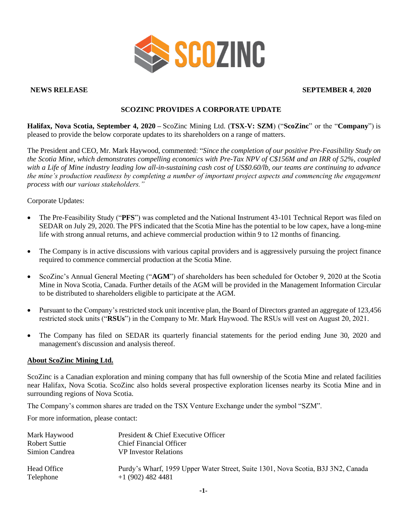

### **NEWS RELEASE SEPTEMBER 4**, **2020**

# **SCOZINC PROVIDES A CORPORATE UPDATE**

**Halifax, Nova Scotia, September 4, 2020 –** ScoZinc Mining Ltd. (**TSX-V: SZM**) ("**ScoZinc**" or the "**Company**") is pleased to provide the below corporate updates to its shareholders on a range of matters.

The President and CEO, Mr. Mark Haywood, commented: "*Since the completion of our positive Pre-Feasibility Study on the Scotia Mine, which demonstrates compelling economics with Pre-Tax NPV of C\$156M and an IRR of 52%, coupled with a Life of Mine industry leading low all-in-sustaining cash cost of US\$0.60/lb, our teams are continuing to advance the mine's production readiness by completing a number of important project aspects and commencing the engagement process with our various stakeholders."*

#### Corporate Updates:

- The Pre-Feasibility Study ("**PFS**") was completed and the National Instrument 43-101 Technical Report was filed on SEDAR on July 29, 2020. The PFS indicated that the Scotia Mine has the potential to be low capex, have a long-mine life with strong annual returns, and achieve commercial production within 9 to 12 months of financing.
- The Company is in active discussions with various capital providers and is aggressively pursuing the project finance required to commence commercial production at the Scotia Mine.
- ScoZinc's Annual General Meeting ("**AGM**") of shareholders has been scheduled for October 9, 2020 at the Scotia Mine in Nova Scotia, Canada. Further details of the AGM will be provided in the Management Information Circular to be distributed to shareholders eligible to participate at the AGM.
- Pursuant to the Company's restricted stock unit incentive plan, the Board of Directors granted an aggregate of 123,456 restricted stock units ("**RSUs**") in the Company to Mr. Mark Haywood. The RSUs will vest on August 20, 2021.
- The Company has filed on SEDAR its quarterly financial statements for the period ending June 30, 2020 and management's discussion and analysis thereof.

## **About ScoZinc Mining Ltd.**

ScoZinc is a Canadian exploration and mining company that has full ownership of the Scotia Mine and related facilities near Halifax, Nova Scotia. ScoZinc also holds several prospective exploration licenses nearby its Scotia Mine and in surrounding regions of Nova Scotia.

The Company's common shares are traded on the TSX Venture Exchange under the symbol "SZM".

For more information, please contact:

| Mark Haywood             | President & Chief Executive Officer                                                                    |
|--------------------------|--------------------------------------------------------------------------------------------------------|
| Robert Suttie            | <b>Chief Financial Officer</b>                                                                         |
| Simion Candrea           | <b>VP</b> Investor Relations                                                                           |
| Head Office<br>Telephone | Purdy's Wharf, 1959 Upper Water Street, Suite 1301, Nova Scotia, B3J 3N2, Canada<br>$+1(902)$ 482 4481 |
|                          |                                                                                                        |